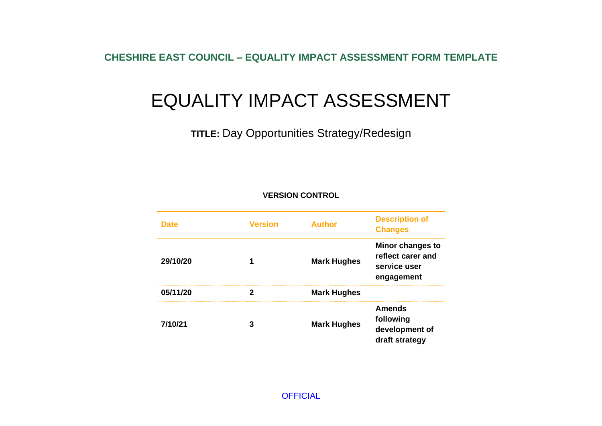**CHESHIRE EAST COUNCIL – EQUALITY IMPACT ASSESSMENT FORM TEMPLATE**

# EQUALITY IMPACT ASSESSMENT

**TITLE:** Day Opportunities Strategy/Redesign

### **VERSION CONTROL**

| <b>Date</b> | <b>Version</b><br><b>Author</b><br><b>Mark Hughes</b><br>1 |                    | <b>Description of</b><br><b>Changes</b>                                    |
|-------------|------------------------------------------------------------|--------------------|----------------------------------------------------------------------------|
| 29/10/20    |                                                            |                    | <b>Minor changes to</b><br>reflect carer and<br>service user<br>engagement |
| 05/11/20    | 2                                                          | <b>Mark Hughes</b> |                                                                            |
| 7/10/21     | 3                                                          | <b>Mark Hughes</b> | Amends<br>following<br>development of<br>draft strategy                    |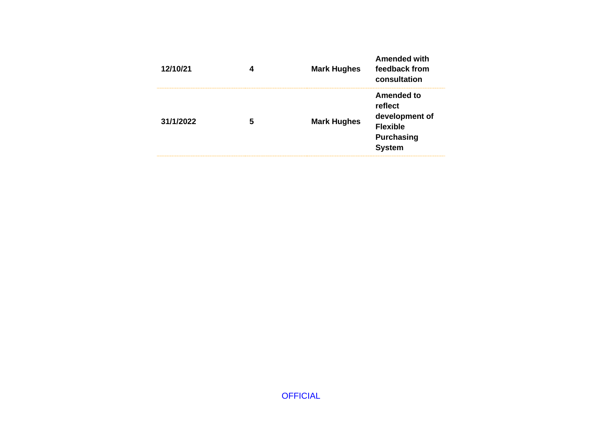| Amended to<br>reflect<br>development of<br><b>Mark Hughes</b><br>31/1/2022<br>5<br><b>Flexible</b><br><b>Purchasing</b><br><b>System</b> | 12/10/21 | 4 | <b>Mark Hughes</b> | <b>Amended with</b><br>feedback from<br>consultation |
|------------------------------------------------------------------------------------------------------------------------------------------|----------|---|--------------------|------------------------------------------------------|
|                                                                                                                                          |          |   |                    |                                                      |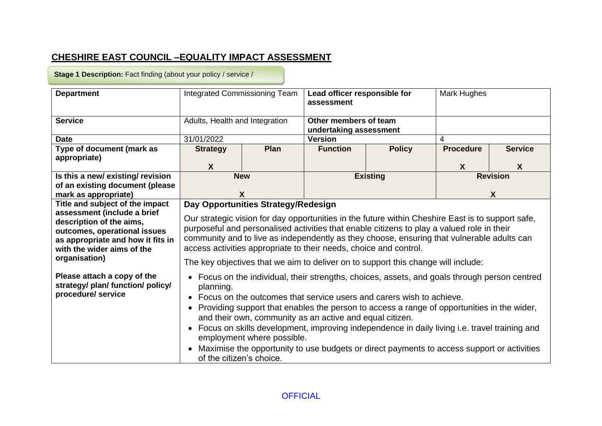## **CHESHIRE EAST COUNCIL –EQUALITY IMPACT ASSESSMENT**

**Stage 1 Description:** Fact finding (about your policy / service /

| <b>Department</b>                                                                                                                                          | Integrated Commissioning Team                                                                                                                                                                                                                                                                                                                                                                                                                                                                                                                                                                          |                                     | Lead officer responsible for<br>assessment      |                 | Mark Hughes      |                 |
|------------------------------------------------------------------------------------------------------------------------------------------------------------|--------------------------------------------------------------------------------------------------------------------------------------------------------------------------------------------------------------------------------------------------------------------------------------------------------------------------------------------------------------------------------------------------------------------------------------------------------------------------------------------------------------------------------------------------------------------------------------------------------|-------------------------------------|-------------------------------------------------|-----------------|------------------|-----------------|
| <b>Service</b>                                                                                                                                             | Adults, Health and Integration                                                                                                                                                                                                                                                                                                                                                                                                                                                                                                                                                                         |                                     | Other members of team<br>undertaking assessment |                 |                  |                 |
| <b>Date</b>                                                                                                                                                | 31/01/2022                                                                                                                                                                                                                                                                                                                                                                                                                                                                                                                                                                                             |                                     | <b>Version</b>                                  |                 | 4                |                 |
| Type of document (mark as                                                                                                                                  | <b>Strategy</b>                                                                                                                                                                                                                                                                                                                                                                                                                                                                                                                                                                                        | Plan                                | <b>Function</b>                                 | <b>Policy</b>   | <b>Procedure</b> | <b>Service</b>  |
| appropriate)                                                                                                                                               |                                                                                                                                                                                                                                                                                                                                                                                                                                                                                                                                                                                                        |                                     |                                                 |                 |                  |                 |
|                                                                                                                                                            | $\boldsymbol{X}$                                                                                                                                                                                                                                                                                                                                                                                                                                                                                                                                                                                       |                                     |                                                 |                 | $\boldsymbol{X}$ | X.              |
| Is this a new/existing/revision                                                                                                                            |                                                                                                                                                                                                                                                                                                                                                                                                                                                                                                                                                                                                        | <b>New</b>                          |                                                 | <b>Existing</b> |                  | <b>Revision</b> |
| of an existing document (please                                                                                                                            |                                                                                                                                                                                                                                                                                                                                                                                                                                                                                                                                                                                                        |                                     |                                                 |                 |                  |                 |
| mark as appropriate)                                                                                                                                       |                                                                                                                                                                                                                                                                                                                                                                                                                                                                                                                                                                                                        | $\boldsymbol{X}$                    |                                                 |                 | X                |                 |
| Title and subject of the impact                                                                                                                            |                                                                                                                                                                                                                                                                                                                                                                                                                                                                                                                                                                                                        | Day Opportunities Strategy/Redesign |                                                 |                 |                  |                 |
| assessment (include a brief<br>description of the aims,<br>outcomes, operational issues<br>as appropriate and how it fits in<br>with the wider aims of the | Our strategic vision for day opportunities in the future within Cheshire East is to support safe,<br>purposeful and personalised activities that enable citizens to play a valued role in their<br>community and to live as independently as they choose, ensuring that vulnerable adults can<br>access activities appropriate to their needs, choice and control.                                                                                                                                                                                                                                     |                                     |                                                 |                 |                  |                 |
| organisation)                                                                                                                                              | The key objectives that we aim to deliver on to support this change will include:                                                                                                                                                                                                                                                                                                                                                                                                                                                                                                                      |                                     |                                                 |                 |                  |                 |
| Please attach a copy of the<br>strategy/ plan/ function/ policy/<br>procedure/ service                                                                     | • Focus on the individual, their strengths, choices, assets, and goals through person centred<br>planning.<br>• Focus on the outcomes that service users and carers wish to achieve.<br>Providing support that enables the person to access a range of opportunities in the wider,<br>and their own, community as an active and equal citizen.<br>Focus on skills development, improving independence in daily living i.e. travel training and<br>employment where possible.<br>Maximise the opportunity to use budgets or direct payments to access support or activities<br>of the citizen's choice. |                                     |                                                 |                 |                  |                 |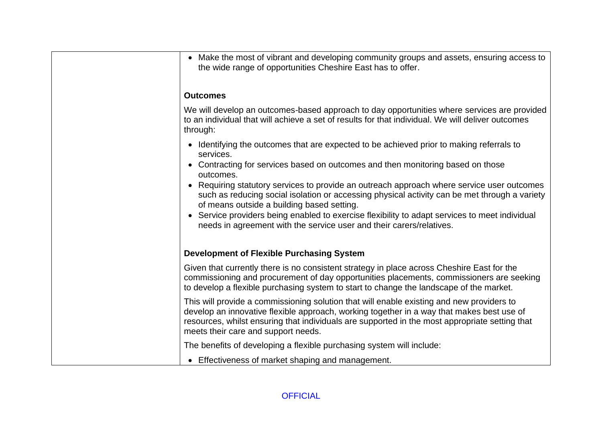| • Make the most of vibrant and developing community groups and assets, ensuring access to<br>the wide range of opportunities Cheshire East has to offer.                                                                                                                                                                        |
|---------------------------------------------------------------------------------------------------------------------------------------------------------------------------------------------------------------------------------------------------------------------------------------------------------------------------------|
| <b>Outcomes</b>                                                                                                                                                                                                                                                                                                                 |
| We will develop an outcomes-based approach to day opportunities where services are provided<br>to an individual that will achieve a set of results for that individual. We will deliver outcomes<br>through:                                                                                                                    |
| • Identifying the outcomes that are expected to be achieved prior to making referrals to<br>services.                                                                                                                                                                                                                           |
| Contracting for services based on outcomes and then monitoring based on those<br>outcomes.                                                                                                                                                                                                                                      |
| Requiring statutory services to provide an outreach approach where service user outcomes<br>such as reducing social isolation or accessing physical activity can be met through a variety<br>of means outside a building based setting.                                                                                         |
| Service providers being enabled to exercise flexibility to adapt services to meet individual<br>needs in agreement with the service user and their carers/relatives.                                                                                                                                                            |
| <b>Development of Flexible Purchasing System</b>                                                                                                                                                                                                                                                                                |
| Given that currently there is no consistent strategy in place across Cheshire East for the<br>commissioning and procurement of day opportunities placements, commissioners are seeking<br>to develop a flexible purchasing system to start to change the landscape of the market.                                               |
| This will provide a commissioning solution that will enable existing and new providers to<br>develop an innovative flexible approach, working together in a way that makes best use of<br>resources, whilst ensuring that individuals are supported in the most appropriate setting that<br>meets their care and support needs. |
| The benefits of developing a flexible purchasing system will include:                                                                                                                                                                                                                                                           |
| • Effectiveness of market shaping and management.                                                                                                                                                                                                                                                                               |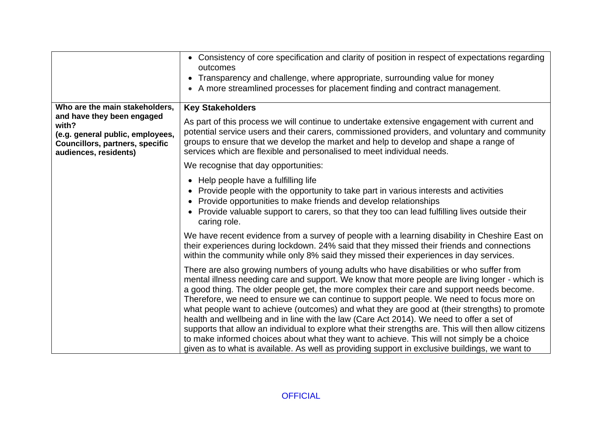| Who are the main stakeholders,<br>and have they been engaged                                                 | • Consistency of core specification and clarity of position in respect of expectations regarding<br>outcomes<br>• Transparency and challenge, where appropriate, surrounding value for money<br>• A more streamlined processes for placement finding and contract management.<br><b>Key Stakeholders</b><br>As part of this process we will continue to undertake extensive engagement with current and                                                                                                                                                                                                                                                                                                                                                                                                                                                                                 |
|--------------------------------------------------------------------------------------------------------------|-----------------------------------------------------------------------------------------------------------------------------------------------------------------------------------------------------------------------------------------------------------------------------------------------------------------------------------------------------------------------------------------------------------------------------------------------------------------------------------------------------------------------------------------------------------------------------------------------------------------------------------------------------------------------------------------------------------------------------------------------------------------------------------------------------------------------------------------------------------------------------------------|
| with?<br>(e.g. general public, employees,<br><b>Councillors, partners, specific</b><br>audiences, residents) | potential service users and their carers, commissioned providers, and voluntary and community<br>groups to ensure that we develop the market and help to develop and shape a range of<br>services which are flexible and personalised to meet individual needs.                                                                                                                                                                                                                                                                                                                                                                                                                                                                                                                                                                                                                         |
|                                                                                                              | We recognise that day opportunities:                                                                                                                                                                                                                                                                                                                                                                                                                                                                                                                                                                                                                                                                                                                                                                                                                                                    |
|                                                                                                              | • Help people have a fulfilling life<br>Provide people with the opportunity to take part in various interests and activities<br>• Provide opportunities to make friends and develop relationships<br>Provide valuable support to carers, so that they too can lead fulfilling lives outside their<br>caring role.                                                                                                                                                                                                                                                                                                                                                                                                                                                                                                                                                                       |
|                                                                                                              | We have recent evidence from a survey of people with a learning disability in Cheshire East on<br>their experiences during lockdown. 24% said that they missed their friends and connections<br>within the community while only 8% said they missed their experiences in day services.                                                                                                                                                                                                                                                                                                                                                                                                                                                                                                                                                                                                  |
|                                                                                                              | There are also growing numbers of young adults who have disabilities or who suffer from<br>mental illness needing care and support. We know that more people are living longer - which is<br>a good thing. The older people get, the more complex their care and support needs become.<br>Therefore, we need to ensure we can continue to support people. We need to focus more on<br>what people want to achieve (outcomes) and what they are good at (their strengths) to promote<br>health and wellbeing and in line with the law (Care Act 2014). We need to offer a set of<br>supports that allow an individual to explore what their strengths are. This will then allow citizens<br>to make informed choices about what they want to achieve. This will not simply be a choice<br>given as to what is available. As well as providing support in exclusive buildings, we want to |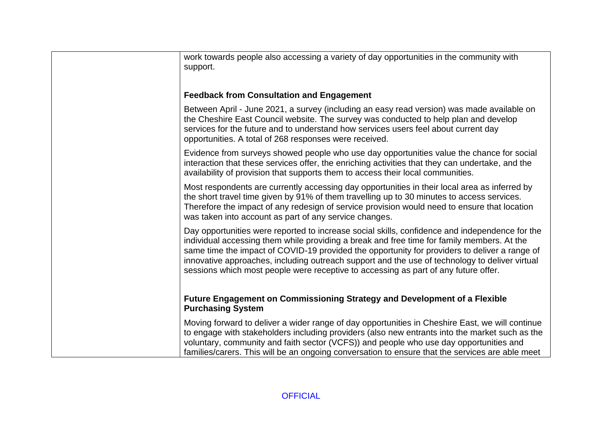| work towards people also accessing a variety of day opportunities in the community with<br>support.                                                                                                                                                                                                                                                                                                                                                                                    |
|----------------------------------------------------------------------------------------------------------------------------------------------------------------------------------------------------------------------------------------------------------------------------------------------------------------------------------------------------------------------------------------------------------------------------------------------------------------------------------------|
| <b>Feedback from Consultation and Engagement</b>                                                                                                                                                                                                                                                                                                                                                                                                                                       |
| Between April - June 2021, a survey (including an easy read version) was made available on<br>the Cheshire East Council website. The survey was conducted to help plan and develop<br>services for the future and to understand how services users feel about current day<br>opportunities. A total of 268 responses were received.                                                                                                                                                    |
| Evidence from surveys showed people who use day opportunities value the chance for social<br>interaction that these services offer, the enriching activities that they can undertake, and the<br>availability of provision that supports them to access their local communities.                                                                                                                                                                                                       |
| Most respondents are currently accessing day opportunities in their local area as inferred by<br>the short travel time given by 91% of them travelling up to 30 minutes to access services.<br>Therefore the impact of any redesign of service provision would need to ensure that location<br>was taken into account as part of any service changes.                                                                                                                                  |
| Day opportunities were reported to increase social skills, confidence and independence for the<br>individual accessing them while providing a break and free time for family members. At the<br>same time the impact of COVID-19 provided the opportunity for providers to deliver a range of<br>innovative approaches, including outreach support and the use of technology to deliver virtual<br>sessions which most people were receptive to accessing as part of any future offer. |
| Future Engagement on Commissioning Strategy and Development of a Flexible<br><b>Purchasing System</b>                                                                                                                                                                                                                                                                                                                                                                                  |
| Moving forward to deliver a wider range of day opportunities in Cheshire East, we will continue<br>to engage with stakeholders including providers (also new entrants into the market such as the<br>voluntary, community and faith sector (VCFS)) and people who use day opportunities and<br>families/carers. This will be an ongoing conversation to ensure that the services are able meet                                                                                         |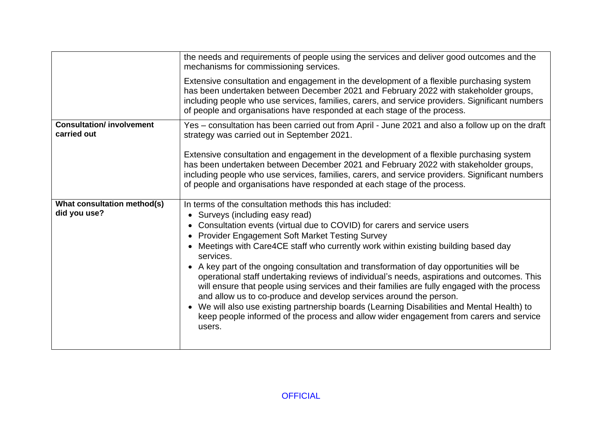|                                                | the needs and requirements of people using the services and deliver good outcomes and the<br>mechanisms for commissioning services.                                                                                                                                                                                                                                                                                                                                                                                                                                                                                                                                                                                                                                                                                                                                                             |
|------------------------------------------------|-------------------------------------------------------------------------------------------------------------------------------------------------------------------------------------------------------------------------------------------------------------------------------------------------------------------------------------------------------------------------------------------------------------------------------------------------------------------------------------------------------------------------------------------------------------------------------------------------------------------------------------------------------------------------------------------------------------------------------------------------------------------------------------------------------------------------------------------------------------------------------------------------|
|                                                | Extensive consultation and engagement in the development of a flexible purchasing system<br>has been undertaken between December 2021 and February 2022 with stakeholder groups,<br>including people who use services, families, carers, and service providers. Significant numbers<br>of people and organisations have responded at each stage of the process.                                                                                                                                                                                                                                                                                                                                                                                                                                                                                                                                 |
| <b>Consultation/involvement</b><br>carried out | Yes - consultation has been carried out from April - June 2021 and also a follow up on the draft<br>strategy was carried out in September 2021.                                                                                                                                                                                                                                                                                                                                                                                                                                                                                                                                                                                                                                                                                                                                                 |
|                                                | Extensive consultation and engagement in the development of a flexible purchasing system<br>has been undertaken between December 2021 and February 2022 with stakeholder groups,<br>including people who use services, families, carers, and service providers. Significant numbers<br>of people and organisations have responded at each stage of the process.                                                                                                                                                                                                                                                                                                                                                                                                                                                                                                                                 |
| What consultation method(s)<br>did you use?    | In terms of the consultation methods this has included:<br>• Surveys (including easy read)<br>Consultation events (virtual due to COVID) for carers and service users<br>• Provider Engagement Soft Market Testing Survey<br>Meetings with Care4CE staff who currently work within existing building based day<br>services.<br>• A key part of the ongoing consultation and transformation of day opportunities will be<br>operational staff undertaking reviews of individual's needs, aspirations and outcomes. This<br>will ensure that people using services and their families are fully engaged with the process<br>and allow us to co-produce and develop services around the person.<br>• We will also use existing partnership boards (Learning Disabilities and Mental Health) to<br>keep people informed of the process and allow wider engagement from carers and service<br>users. |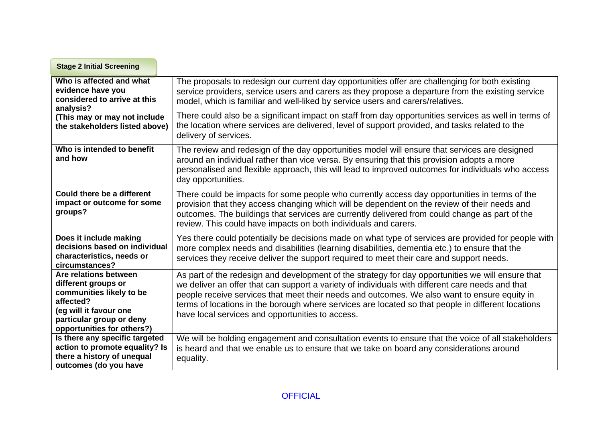| <b>Stage 2 Initial Screening</b>                                                                                                                                          |                                                                                                                                                                                                                                                                                                                                                                                                                                                                 |
|---------------------------------------------------------------------------------------------------------------------------------------------------------------------------|-----------------------------------------------------------------------------------------------------------------------------------------------------------------------------------------------------------------------------------------------------------------------------------------------------------------------------------------------------------------------------------------------------------------------------------------------------------------|
| Who is affected and what<br>evidence have you<br>considered to arrive at this<br>analysis?                                                                                | The proposals to redesign our current day opportunities offer are challenging for both existing<br>service providers, service users and carers as they propose a departure from the existing service<br>model, which is familiar and well-liked by service users and carers/relatives.                                                                                                                                                                          |
| (This may or may not include<br>the stakeholders listed above)                                                                                                            | There could also be a significant impact on staff from day opportunities services as well in terms of<br>the location where services are delivered, level of support provided, and tasks related to the<br>delivery of services.                                                                                                                                                                                                                                |
| Who is intended to benefit<br>and how                                                                                                                                     | The review and redesign of the day opportunities model will ensure that services are designed<br>around an individual rather than vice versa. By ensuring that this provision adopts a more<br>personalised and flexible approach, this will lead to improved outcomes for individuals who access<br>day opportunities.                                                                                                                                         |
| Could there be a different<br>impact or outcome for some<br>groups?                                                                                                       | There could be impacts for some people who currently access day opportunities in terms of the<br>provision that they access changing which will be dependent on the review of their needs and<br>outcomes. The buildings that services are currently delivered from could change as part of the<br>review. This could have impacts on both individuals and carers.                                                                                              |
| Does it include making<br>decisions based on individual<br>characteristics, needs or<br>circumstances?                                                                    | Yes there could potentially be decisions made on what type of services are provided for people with<br>more complex needs and disabilities (learning disabilities, dementia etc.) to ensure that the<br>services they receive deliver the support required to meet their care and support needs.                                                                                                                                                                |
| Are relations between<br>different groups or<br>communities likely to be<br>affected?<br>(eg will it favour one<br>particular group or deny<br>opportunities for others?) | As part of the redesign and development of the strategy for day opportunities we will ensure that<br>we deliver an offer that can support a variety of individuals with different care needs and that<br>people receive services that meet their needs and outcomes. We also want to ensure equity in<br>terms of locations in the borough where services are located so that people in different locations<br>have local services and opportunities to access. |
| Is there any specific targeted<br>action to promote equality? Is<br>there a history of unequal<br>outcomes (do you have                                                   | We will be holding engagement and consultation events to ensure that the voice of all stakeholders<br>is heard and that we enable us to ensure that we take on board any considerations around<br>equality.                                                                                                                                                                                                                                                     |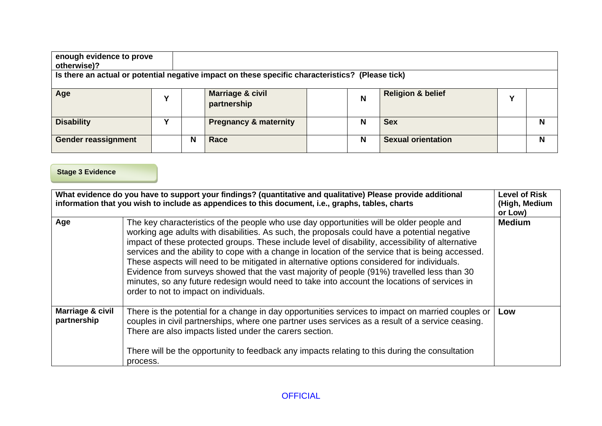| enough evidence to prove<br>otherwise)? |   |   |                                                                                                  |  |   |                              |  |   |
|-----------------------------------------|---|---|--------------------------------------------------------------------------------------------------|--|---|------------------------------|--|---|
|                                         |   |   | Is there an actual or potential negative impact on these specific characteristics? (Please tick) |  |   |                              |  |   |
| Age                                     | v |   | Marriage & civil<br>partnership                                                                  |  | N | <b>Religion &amp; belief</b> |  |   |
| <b>Disability</b>                       | v |   | <b>Pregnancy &amp; maternity</b>                                                                 |  | N | <b>Sex</b>                   |  | N |
| <b>Gender reassignment</b>              |   | N | Race                                                                                             |  | N | <b>Sexual orientation</b>    |  | N |

#### **Stage 3 Evidence**

|                                 | What evidence do you have to support your findings? (quantitative and qualitative) Please provide additional<br>information that you wish to include as appendices to this document, i.e., graphs, tables, charts                                                                                                                                                                                                                                                                                                                                                                                                                                                                                                                        |     |  |  |
|---------------------------------|------------------------------------------------------------------------------------------------------------------------------------------------------------------------------------------------------------------------------------------------------------------------------------------------------------------------------------------------------------------------------------------------------------------------------------------------------------------------------------------------------------------------------------------------------------------------------------------------------------------------------------------------------------------------------------------------------------------------------------------|-----|--|--|
| Age                             | The key characteristics of the people who use day opportunities will be older people and<br>working age adults with disabilities. As such, the proposals could have a potential negative<br>impact of these protected groups. These include level of disability, accessibility of alternative<br>services and the ability to cope with a change in location of the service that is being accessed.<br>These aspects will need to be mitigated in alternative options considered for individuals.<br>Evidence from surveys showed that the vast majority of people (91%) travelled less than 30<br>minutes, so any future redesign would need to take into account the locations of services in<br>order to not to impact on individuals. |     |  |  |
| Marriage & civil<br>partnership | There is the potential for a change in day opportunities services to impact on married couples or<br>couples in civil partnerships, where one partner uses services as a result of a service ceasing.<br>There are also impacts listed under the carers section.<br>There will be the opportunity to feedback any impacts relating to this during the consultation<br>process.                                                                                                                                                                                                                                                                                                                                                           | Low |  |  |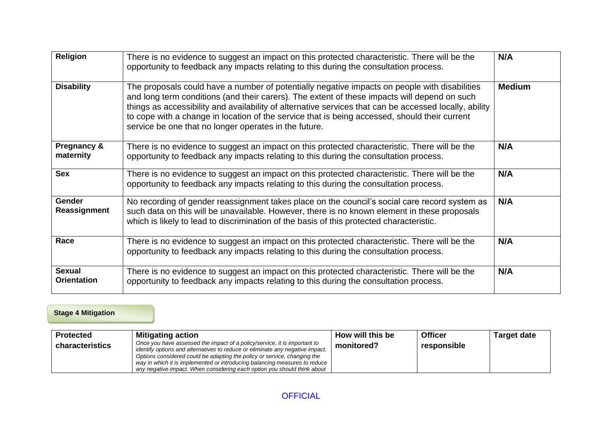| Religion                                                                                                                                                                                                                                                                                                                                                                                                                                                                               | N/A<br>There is no evidence to suggest an impact on this protected characteristic. There will be the<br>opportunity to feedback any impacts relating to this during the consultation process.                                                                                             |               |  |
|----------------------------------------------------------------------------------------------------------------------------------------------------------------------------------------------------------------------------------------------------------------------------------------------------------------------------------------------------------------------------------------------------------------------------------------------------------------------------------------|-------------------------------------------------------------------------------------------------------------------------------------------------------------------------------------------------------------------------------------------------------------------------------------------|---------------|--|
| <b>Disability</b><br>The proposals could have a number of potentially negative impacts on people with disabilities<br>and long term conditions (and their carers). The extent of these impacts will depend on such<br>things as accessibility and availability of alternative services that can be accessed locally, ability<br>to cope with a change in location of the service that is being accessed, should their current<br>service be one that no longer operates in the future. |                                                                                                                                                                                                                                                                                           | <b>Medium</b> |  |
| <b>Pregnancy &amp;</b><br>There is no evidence to suggest an impact on this protected characteristic. There will be the<br>maternity<br>opportunity to feedback any impacts relating to this during the consultation process.                                                                                                                                                                                                                                                          |                                                                                                                                                                                                                                                                                           | N/A           |  |
| <b>Sex</b>                                                                                                                                                                                                                                                                                                                                                                                                                                                                             | There is no evidence to suggest an impact on this protected characteristic. There will be the<br>opportunity to feedback any impacts relating to this during the consultation process.                                                                                                    | N/A           |  |
| Gender<br>Reassignment                                                                                                                                                                                                                                                                                                                                                                                                                                                                 | No recording of gender reassignment takes place on the council's social care record system as<br>such data on this will be unavailable. However, there is no known element in these proposals<br>which is likely to lead to discrimination of the basis of this protected characteristic. |               |  |
| Race                                                                                                                                                                                                                                                                                                                                                                                                                                                                                   | There is no evidence to suggest an impact on this protected characteristic. There will be the<br>opportunity to feedback any impacts relating to this during the consultation process.                                                                                                    |               |  |
| <b>Sexual</b><br><b>Orientation</b>                                                                                                                                                                                                                                                                                                                                                                                                                                                    | There is no evidence to suggest an impact on this protected characteristic. There will be the<br>opportunity to feedback any impacts relating to this during the consultation process.                                                                                                    | N/A           |  |

### **Stage 4 Mitigation**

| <b>Protected</b> | <b>Mitigating action</b>                                                                                                                                                                                                                                                                                             | How will this be | <b>Officer</b> | <b>Target date</b> |
|------------------|----------------------------------------------------------------------------------------------------------------------------------------------------------------------------------------------------------------------------------------------------------------------------------------------------------------------|------------------|----------------|--------------------|
| characteristics  | Once you have assessed the impact of a policy/service, it is important to<br>identify options and alternatives to reduce or eliminate any negative impact.<br>Options considered could be adapting the policy or service, changing the<br>way in which it is implemented or introducing balancing measures to reduce | monitored?       | responsible    |                    |
|                  | any negative impact. When considering each option you should think about                                                                                                                                                                                                                                             |                  |                |                    |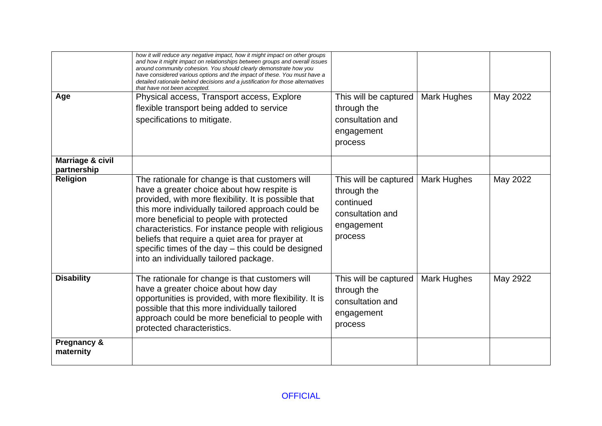|                                            | how it will reduce any negative impact, how it might impact on other groups<br>and how it might impact on relationships between groups and overall issues<br>around community cohesion. You should clearly demonstrate how you<br>have considered various options and the impact of these. You must have a<br>detailed rationale behind decisions and a justification for those alternatives<br>that have not been accepted.                                     |                                                                                                |                    |          |
|--------------------------------------------|------------------------------------------------------------------------------------------------------------------------------------------------------------------------------------------------------------------------------------------------------------------------------------------------------------------------------------------------------------------------------------------------------------------------------------------------------------------|------------------------------------------------------------------------------------------------|--------------------|----------|
| Age                                        | Physical access, Transport access, Explore<br>flexible transport being added to service<br>specifications to mitigate.                                                                                                                                                                                                                                                                                                                                           | This will be captured<br>through the<br>consultation and<br>engagement<br>process              | <b>Mark Hughes</b> | May 2022 |
| <b>Marriage &amp; civil</b><br>partnership |                                                                                                                                                                                                                                                                                                                                                                                                                                                                  |                                                                                                |                    |          |
| <b>Religion</b>                            | The rationale for change is that customers will<br>have a greater choice about how respite is<br>provided, with more flexibility. It is possible that<br>this more individually tailored approach could be<br>more beneficial to people with protected<br>characteristics. For instance people with religious<br>beliefs that require a quiet area for prayer at<br>specific times of the day - this could be designed<br>into an individually tailored package. | This will be captured<br>through the<br>continued<br>consultation and<br>engagement<br>process | <b>Mark Hughes</b> | May 2022 |
| <b>Disability</b>                          | The rationale for change is that customers will<br>have a greater choice about how day<br>opportunities is provided, with more flexibility. It is<br>possible that this more individually tailored<br>approach could be more beneficial to people with<br>protected characteristics.                                                                                                                                                                             | This will be captured<br>through the<br>consultation and<br>engagement<br>process              | <b>Mark Hughes</b> | May 2922 |
| Pregnancy &<br>maternity                   |                                                                                                                                                                                                                                                                                                                                                                                                                                                                  |                                                                                                |                    |          |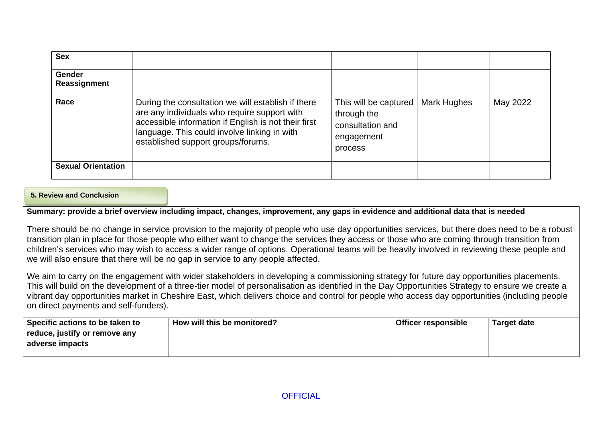| <b>Sex</b>                    |                                                                                                                                                                                                                                                  |                                                                                   |                    |          |
|-------------------------------|--------------------------------------------------------------------------------------------------------------------------------------------------------------------------------------------------------------------------------------------------|-----------------------------------------------------------------------------------|--------------------|----------|
| <b>Gender</b><br>Reassignment |                                                                                                                                                                                                                                                  |                                                                                   |                    |          |
| Race                          | During the consultation we will establish if there<br>are any individuals who require support with<br>accessible information if English is not their first<br>language. This could involve linking in with<br>established support groups/forums. | This will be captured<br>through the<br>consultation and<br>engagement<br>process | <b>Mark Hughes</b> | May 2022 |
| <b>Sexual Orientation</b>     |                                                                                                                                                                                                                                                  |                                                                                   |                    |          |

#### **5. Review and Conclusion**

**Summary: provide a brief overview including impact, changes, improvement, any gaps in evidence and additional data that is needed**

There should be no change in service provision to the majority of people who use day opportunities services, but there does need to be a robust transition plan in place for those people who either want to change the services they access or those who are coming through transition from children's services who may wish to access a wider range of options. Operational teams will be heavily involved in reviewing these people and we will also ensure that there will be no gap in service to any people affected.

We aim to carry on the engagement with wider stakeholders in developing a commissioning strategy for future day opportunities placements. This will build on the development of a three-tier model of personalisation as identified in the Day Opportunities Strategy to ensure we create a vibrant day opportunities market in Cheshire East, which delivers choice and control for people who access day opportunities (including people on direct payments and self-funders).

| Specific actions to be taken to | How will this be monitored? | <b>Officer responsible</b> | <b>Target date</b> |
|---------------------------------|-----------------------------|----------------------------|--------------------|
| reduce, justify or remove any   |                             |                            |                    |
| adverse impacts                 |                             |                            |                    |
|                                 |                             |                            |                    |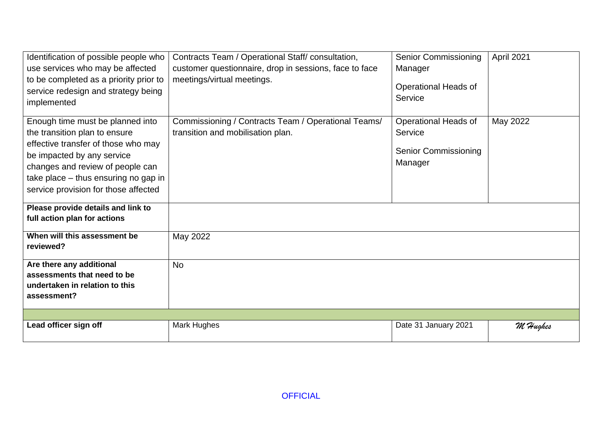| Identification of possible people who<br>use services who may be affected<br>to be completed as a priority prior to<br>service redesign and strategy being<br>implemented                                                                                  | Contracts Team / Operational Staff/ consultation,<br>customer questionnaire, drop in sessions, face to face<br>meetings/virtual meetings. | <b>Senior Commissioning</b><br>Manager<br><b>Operational Heads of</b><br>Service | April 2021 |
|------------------------------------------------------------------------------------------------------------------------------------------------------------------------------------------------------------------------------------------------------------|-------------------------------------------------------------------------------------------------------------------------------------------|----------------------------------------------------------------------------------|------------|
| Enough time must be planned into<br>the transition plan to ensure<br>effective transfer of those who may<br>be impacted by any service<br>changes and review of people can<br>take place – thus ensuring no gap in<br>service provision for those affected | Commissioning / Contracts Team / Operational Teams/<br>transition and mobilisation plan.                                                  | Operational Heads of<br>Service<br><b>Senior Commissioning</b><br>Manager        | May 2022   |
| Please provide details and link to<br>full action plan for actions                                                                                                                                                                                         |                                                                                                                                           |                                                                                  |            |
| When will this assessment be<br>reviewed?                                                                                                                                                                                                                  | May 2022                                                                                                                                  |                                                                                  |            |
| Are there any additional<br>assessments that need to be<br>undertaken in relation to this<br>assessment?                                                                                                                                                   | <b>No</b>                                                                                                                                 |                                                                                  |            |
| Lead officer sign off                                                                                                                                                                                                                                      | Mark Hughes                                                                                                                               | Date 31 January 2021                                                             | M Hughes   |